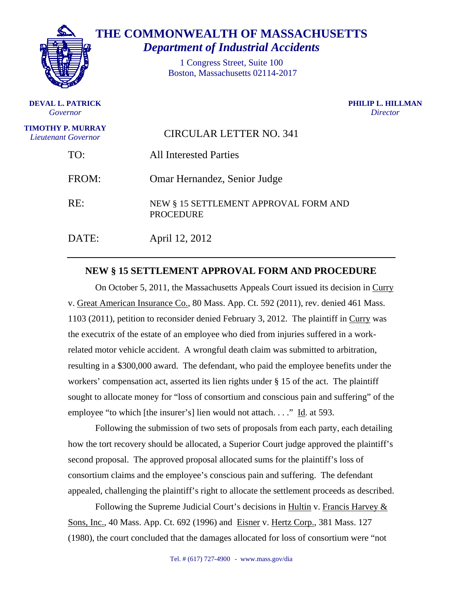

**DEVAL L. PATRICK**  *Governor*

**THE COMMONWEALTH OF MASSACHUSETTS**  *Department of Industrial Accidents*

> 1 Congress Street, Suite 100 Boston, Massachusetts 02114-2017

> > **PHILIP L. HILLMAN**  *Director*

| <b>TIMOTHY P. MURRAY</b><br>Lieutenant Governor | <b>CIRCULAR LETTER NO. 341</b>                            |
|-------------------------------------------------|-----------------------------------------------------------|
| TO:                                             | <b>All Interested Parties</b>                             |
| FROM:                                           | Omar Hernandez, Senior Judge                              |
| RE:                                             | NEW § 15 SETTLEMENT APPROVAL FORM AND<br><b>PROCEDURE</b> |
| DATE:                                           | April 12, 2012                                            |

## **NEW § 15 SETTLEMENT APPROVAL FORM AND PROCEDURE**

On October 5, 2011, the Massachusetts Appeals Court issued its decision in Curry v. Great American Insurance Co., 80 Mass. App. Ct. 592 (2011), rev. denied 461 Mass. 1103 (2011), petition to reconsider denied February 3, 2012. The plaintiff in Curry was the executrix of the estate of an employee who died from injuries suffered in a workrelated motor vehicle accident. A wrongful death claim was submitted to arbitration, resulting in a \$300,000 award. The defendant, who paid the employee benefits under the workers' compensation act, asserted its lien rights under  $\S$  15 of the act. The plaintiff sought to allocate money for "loss of consortium and conscious pain and suffering" of the employee "to which [the insurer's] lien would not attach. . . ." Id. at 593.

Following the submission of two sets of proposals from each party, each detailing how the tort recovery should be allocated, a Superior Court judge approved the plaintiff's second proposal. The approved proposal allocated sums for the plaintiff's loss of consortium claims and the employee's conscious pain and suffering. The defendant appealed, challenging the plaintiff's right to allocate the settlement proceeds as described.

Following the Supreme Judicial Court's decisions in Hultin v. Francis Harvey & Sons, Inc., 40 Mass. App. Ct. 692 (1996) and Eisner v. Hertz Corp., 381 Mass. 127 (1980), the court concluded that the damages allocated for loss of consortium were "not